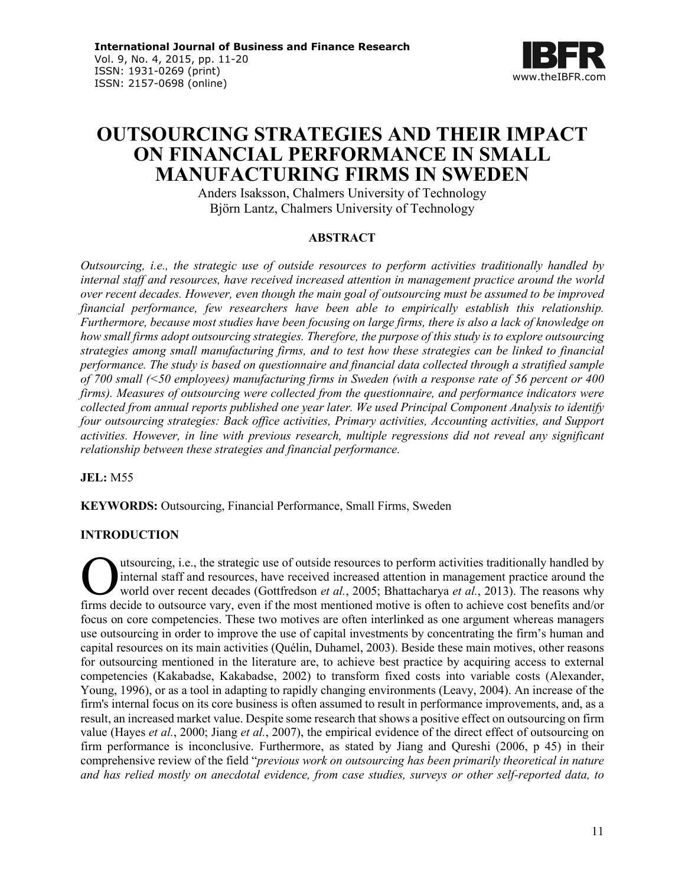

# **OUTSOURCING STRATEGIES AND THEIR IMPACT ON FINANCIAL PERFORMANCE IN SMALL MANUFACTURING FIRMS IN SWEDEN**

Anders Isaksson, Chalmers University of Technology Björn Lantz, Chalmers University of Technology

# **ABSTRACT**

*Outsourcing, i.e., the strategic use of outside resources to perform activities traditionally handled by internal staff and resources, have received increased attention in management practice around the world over recent decades. However, even though the main goal of outsourcing must be assumed to be improved financial performance, few researchers have been able to empirically establish this relationship. Furthermore, because most studies have been focusing on large firms, there is also a lack of knowledge on how small firms adopt outsourcing strategies. Therefore, the purpose of this study is to explore outsourcing strategies among small manufacturing firms, and to test how these strategies can be linked to financial performance. The study is based on questionnaire and financial data collected through a stratified sample of 700 small (<50 employees) manufacturing firms in Sweden (with a response rate of 56 percent or 400 firms). Measures of outsourcing were collected from the questionnaire, and performance indicators were collected from annual reports published one year later. We used Principal Component Analysis to identify four outsourcing strategies: Back office activities, Primary activities, Accounting activities, and Support activities. However, in line with previous research, multiple regressions did not reveal any significant relationship between these strategies and financial performance.*

**JEL:** M55

**KEYWORDS:** Outsourcing, Financial Performance, Small Firms, Sweden

# **INTRODUCTION**

utsourcing, i.e., the strategic use of outside resources to perform activities traditionally handled by internal staff and resources, have received increased attention in management practice around the world over recent decades (Gottfredson *et al.*, 2005; Bhattacharya *et al.*, 2013). The reasons why **firms** decide to outsources, have received increased attention in management practice around the world over recent decades (Gottfredson *et al.*, 2005; Bhattacharya *et al.*, 2013). The reasons why firms decide to outsour focus on core competencies. These two motives are often interlinked as one argument whereas managers use outsourcing in order to improve the use of capital investments by concentrating the firm's human and capital resources on its main activities (Quélin, Duhamel, 2003). Beside these main motives, other reasons for outsourcing mentioned in the literature are, to achieve best practice by acquiring access to external competencies (Kakabadse, Kakabadse, 2002) to transform fixed costs into variable costs (Alexander, Young, 1996), or as a tool in adapting to rapidly changing environments (Leavy, 2004). An increase of the firm's internal focus on its core business is often assumed to result in performance improvements, and, as a result, an increased market value. Despite some research that shows a positive effect on outsourcing on firm value (Hayes *et al.*, 2000; Jiang *et al.*, 2007), the empirical evidence of the direct effect of outsourcing on firm performance is inconclusive. Furthermore, as stated by Jiang and Qureshi (2006, p 45) in their comprehensive review of the field "*previous work on outsourcing has been primarily theoretical in nature and has relied mostly on anecdotal evidence, from case studies, surveys or other self-reported data, to*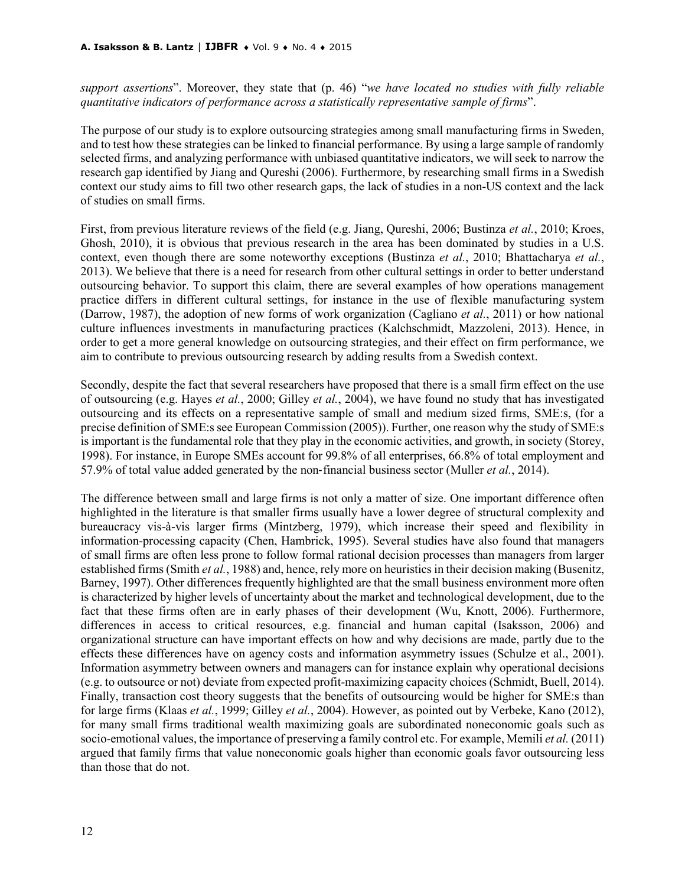*support assertions*". Moreover, they state that (p. 46) "*we have located no studies with fully reliable quantitative indicators of performance across a statistically representative sample of firms*".

The purpose of our study is to explore outsourcing strategies among small manufacturing firms in Sweden, and to test how these strategies can be linked to financial performance. By using a large sample of randomly selected firms, and analyzing performance with unbiased quantitative indicators, we will seek to narrow the research gap identified by Jiang and Qureshi (2006). Furthermore, by researching small firms in a Swedish context our study aims to fill two other research gaps, the lack of studies in a non-US context and the lack of studies on small firms.

First, from previous literature reviews of the field (e.g. Jiang, Qureshi, 2006; Bustinza *et al.*, 2010; Kroes, Ghosh, 2010), it is obvious that previous research in the area has been dominated by studies in a U.S. context, even though there are some noteworthy exceptions (Bustinza *et al.*, 2010; Bhattacharya *et al.*, 2013). We believe that there is a need for research from other cultural settings in order to better understand outsourcing behavior. To support this claim, there are several examples of how operations management practice differs in different cultural settings, for instance in the use of flexible manufacturing system (Darrow, 1987), the adoption of new forms of work organization (Cagliano *et al.*, 2011) or how national culture influences investments in manufacturing practices (Kalchschmidt, Mazzoleni, 2013). Hence, in order to get a more general knowledge on outsourcing strategies, and their effect on firm performance, we aim to contribute to previous outsourcing research by adding results from a Swedish context.

Secondly, despite the fact that several researchers have proposed that there is a small firm effect on the use of outsourcing (e.g. Hayes *et al.*, 2000; Gilley *et al.*, 2004), we have found no study that has investigated outsourcing and its effects on a representative sample of small and medium sized firms, SME:s, (for a precise definition of SME:s see European Commission (2005)). Further, one reason why the study of SME:s is important is the fundamental role that they play in the economic activities, and growth, in society (Storey, 1998). For instance, in Europe SMEs account for 99.8% of all enterprises, 66.8% of total employment and 57.9% of total value added generated by the non‐financial business sector (Muller *et al.*, 2014).

The difference between small and large firms is not only a matter of size. One important difference often highlighted in the literature is that smaller firms usually have a lower degree of structural complexity and bureaucracy vis-à-vis larger firms (Mintzberg, 1979), which increase their speed and flexibility in information-processing capacity (Chen, Hambrick, 1995). Several studies have also found that managers of small firms are often less prone to follow formal rational decision processes than managers from larger established firms (Smith *et al.*, 1988) and, hence, rely more on heuristics in their decision making (Busenitz, Barney, 1997). Other differences frequently highlighted are that the small business environment more often is characterized by higher levels of uncertainty about the market and technological development, due to the fact that these firms often are in early phases of their development (Wu, Knott, 2006). Furthermore, differences in access to critical resources, e.g. financial and human capital (Isaksson, 2006) and organizational structure can have important effects on how and why decisions are made, partly due to the effects these differences have on agency costs and information asymmetry issues (Schulze et al., 2001). Information asymmetry between owners and managers can for instance explain why operational decisions (e.g. to outsource or not) deviate from expected profit-maximizing capacity choices (Schmidt, Buell, 2014). Finally, transaction cost theory suggests that the benefits of outsourcing would be higher for SME:s than for large firms (Klaas *et al.*, 1999; Gilley *et al.*, 2004). However, as pointed out by Verbeke, Kano (2012), for many small firms traditional wealth maximizing goals are subordinated noneconomic goals such as socio-emotional values, the importance of preserving a family control etc. For example, Memili *et al.* (2011) argued that family firms that value noneconomic goals higher than economic goals favor outsourcing less than those that do not.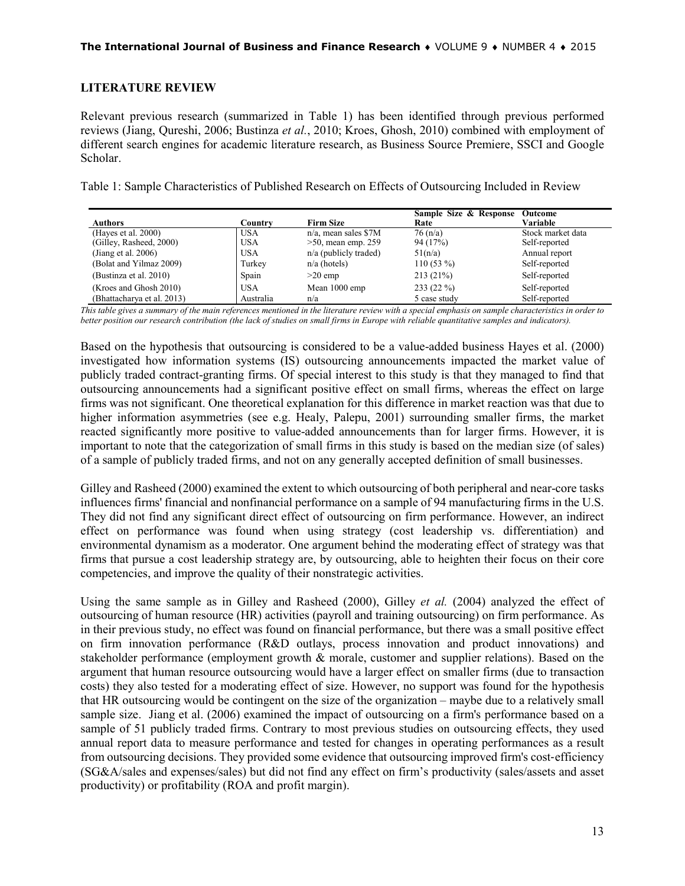### **LITERATURE REVIEW**

Relevant previous research (summarized in Table 1) has been identified through previous performed reviews (Jiang, Qureshi, 2006; Bustinza *et al.*, 2010; Kroes, Ghosh, 2010) combined with employment of different search engines for academic literature research, as Business Source Premiere, SSCI and Google Scholar.

Table 1: Sample Characteristics of Published Research on Effects of Outsourcing Included in Review

| <b>Authors</b>             | Countrv    | <b>Firm Size</b>        | Sample Size & Response<br>Rate | Outcome<br>Variable |
|----------------------------|------------|-------------------------|--------------------------------|---------------------|
| (Hayes et al. 2000)        | <b>USA</b> | $n/a$ , mean sales \$7M | 76(n/a)                        | Stock market data   |
| (Gilley, Rasheed, 2000)    | <b>USA</b> | $>50$ , mean emp. 259   | 94 (17%)                       | Self-reported       |
| (Jiang et al. $2006$ )     | <b>USA</b> | $n/a$ (publicly traded) | 51(n/a)                        | Annual report       |
| (Bolat and Yilmaz 2009)    | Turkey     | $n/a$ (hotels)          | $110(53\%)$                    | Self-reported       |
| (Bustinza et al. 2010)     | Spain      | $>20$ emp               | 213(21%)                       | Self-reported       |
| (Kroes and Ghosh 2010)     | USA        | Mean 1000 emp           | 233 (22 %)                     | Self-reported       |
| (Bhattacharya et al. 2013) | Australia  | n/a                     | 5 case study                   | Self-reported       |

*This table gives a summary of the main references mentioned in the literature review with a special emphasis on sample characteristics in order to better position our research contribution (the lack of studies on small firms in Europe with reliable quantitative samples and indicators).*

Based on the hypothesis that outsourcing is considered to be a value-added business Hayes et al. (2000) investigated how information systems (IS) outsourcing announcements impacted the market value of publicly traded contract-granting firms. Of special interest to this study is that they managed to find that outsourcing announcements had a significant positive effect on small firms, whereas the effect on large firms was not significant. One theoretical explanation for this difference in market reaction was that due to higher information asymmetries (see e.g. Healy, Palepu, 2001) surrounding smaller firms, the market reacted significantly more positive to value-added announcements than for larger firms. However, it is important to note that the categorization of small firms in this study is based on the median size (of sales) of a sample of publicly traded firms, and not on any generally accepted definition of small businesses.

Gilley and Rasheed (2000) examined the extent to which outsourcing of both peripheral and near-core tasks influences firms' financial and nonfinancial performance on a sample of 94 manufacturing firms in the U.S. They did not find any significant direct effect of outsourcing on firm performance. However, an indirect effect on performance was found when using strategy (cost leadership vs. differentiation) and environmental dynamism as a moderator. One argument behind the moderating effect of strategy was that firms that pursue a cost leadership strategy are, by outsourcing, able to heighten their focus on their core competencies, and improve the quality of their nonstrategic activities.

Using the same sample as in Gilley and Rasheed (2000), Gilley *et al.* (2004) analyzed the effect of outsourcing of human resource (HR) activities (payroll and training outsourcing) on firm performance. As in their previous study, no effect was found on financial performance, but there was a small positive effect on firm innovation performance (R&D outlays, process innovation and product innovations) and stakeholder performance (employment growth & morale, customer and supplier relations). Based on the argument that human resource outsourcing would have a larger effect on smaller firms (due to transaction costs) they also tested for a moderating effect of size. However, no support was found for the hypothesis that HR outsourcing would be contingent on the size of the organization – maybe due to a relatively small sample size. Jiang et al. (2006) examined the impact of outsourcing on a firm's performance based on a sample of 51 publicly traded firms. Contrary to most previous studies on outsourcing effects, they used annual report data to measure performance and tested for changes in operating performances as a result from outsourcing decisions. They provided some evidence that outsourcing improved firm's cost-efficiency (SG&A/sales and expenses/sales) but did not find any effect on firm's productivity (sales/assets and asset productivity) or profitability (ROA and profit margin).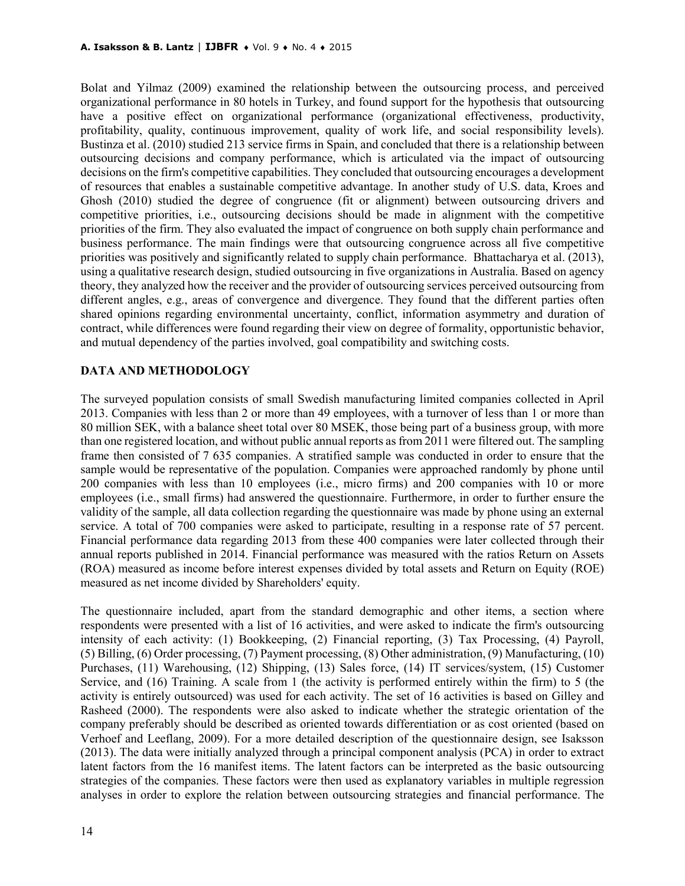Bolat and Yilmaz (2009) examined the relationship between the outsourcing process, and perceived organizational performance in 80 hotels in Turkey, and found support for the hypothesis that outsourcing have a positive effect on organizational performance (organizational effectiveness, productivity, profitability, quality, continuous improvement, quality of work life, and social responsibility levels). Bustinza et al. (2010) studied 213 service firms in Spain, and concluded that there is a relationship between outsourcing decisions and company performance, which is articulated via the impact of outsourcing decisions on the firm's competitive capabilities. They concluded that outsourcing encourages a development of resources that enables a sustainable competitive advantage. In another study of U.S. data, Kroes and Ghosh (2010) studied the degree of congruence (fit or alignment) between outsourcing drivers and competitive priorities, i.e., outsourcing decisions should be made in alignment with the competitive priorities of the firm. They also evaluated the impact of congruence on both supply chain performance and business performance. The main findings were that outsourcing congruence across all five competitive priorities was positively and significantly related to supply chain performance. Bhattacharya et al. (2013), using a qualitative research design, studied outsourcing in five organizations in Australia. Based on agency theory, they analyzed how the receiver and the provider of outsourcing services perceived outsourcing from different angles, e.g., areas of convergence and divergence. They found that the different parties often shared opinions regarding environmental uncertainty, conflict, information asymmetry and duration of contract, while differences were found regarding their view on degree of formality, opportunistic behavior, and mutual dependency of the parties involved, goal compatibility and switching costs.

# **DATA AND METHODOLOGY**

The surveyed population consists of small Swedish manufacturing limited companies collected in April 2013. Companies with less than 2 or more than 49 employees, with a turnover of less than 1 or more than 80 million SEK, with a balance sheet total over 80 MSEK, those being part of a business group, with more than one registered location, and without public annual reports as from 2011 were filtered out. The sampling frame then consisted of 7 635 companies. A stratified sample was conducted in order to ensure that the sample would be representative of the population. Companies were approached randomly by phone until 200 companies with less than 10 employees (i.e., micro firms) and 200 companies with 10 or more employees (i.e., small firms) had answered the questionnaire. Furthermore, in order to further ensure the validity of the sample, all data collection regarding the questionnaire was made by phone using an external service. A total of 700 companies were asked to participate, resulting in a response rate of 57 percent. Financial performance data regarding 2013 from these 400 companies were later collected through their annual reports published in 2014. Financial performance was measured with the ratios Return on Assets (ROA) measured as income before interest expenses divided by total assets and Return on Equity (ROE) measured as net income divided by Shareholders' equity.

The questionnaire included, apart from the standard demographic and other items, a section where respondents were presented with a list of 16 activities, and were asked to indicate the firm's outsourcing intensity of each activity: (1) Bookkeeping, (2) Financial reporting, (3) Tax Processing, (4) Payroll, (5) Billing, (6) Order processing, (7) Payment processing, (8) Other administration, (9) Manufacturing, (10) Purchases, (11) Warehousing, (12) Shipping, (13) Sales force, (14) IT services/system, (15) Customer Service, and (16) Training. A scale from 1 (the activity is performed entirely within the firm) to 5 (the activity is entirely outsourced) was used for each activity. The set of 16 activities is based on Gilley and Rasheed (2000). The respondents were also asked to indicate whether the strategic orientation of the company preferably should be described as oriented towards differentiation or as cost oriented (based on Verhoef and Leeflang, 2009). For a more detailed description of the questionnaire design, see Isaksson (2013). The data were initially analyzed through a principal component analysis (PCA) in order to extract latent factors from the 16 manifest items. The latent factors can be interpreted as the basic outsourcing strategies of the companies. These factors were then used as explanatory variables in multiple regression analyses in order to explore the relation between outsourcing strategies and financial performance. The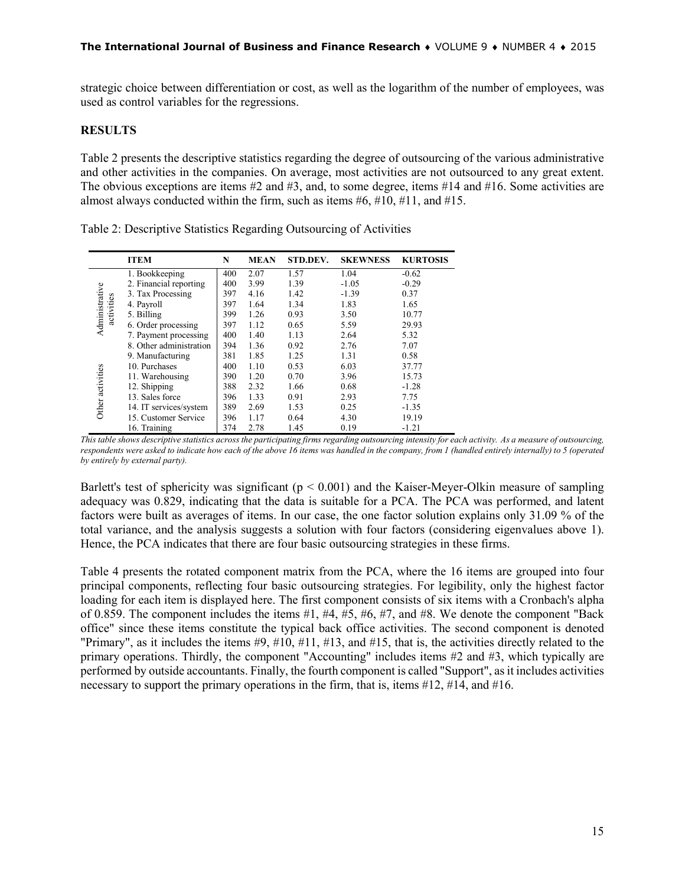strategic choice between differentiation or cost, as well as the logarithm of the number of employees, was used as control variables for the regressions.

### **RESULTS**

Table 2 presents the descriptive statistics regarding the degree of outsourcing of the various administrative and other activities in the companies. On average, most activities are not outsourced to any great extent. The obvious exceptions are items #2 and #3, and, to some degree, items #14 and #16. Some activities are almost always conducted within the firm, such as items  $#6, #10, #11, and #15$ .

|                              | <b>ITEM</b>             | N   | <b>MEAN</b> | STD.DEV. | <b>SKEWNESS</b> | <b>KURTOSIS</b> |
|------------------------------|-------------------------|-----|-------------|----------|-----------------|-----------------|
|                              | 1. Bookkeeping          | 400 | 2.07        | 1.57     | 1.04            | $-0.62$         |
|                              | 2. Financial reporting  | 400 | 3.99        | 1.39     | $-1.05$         | $-0.29$         |
|                              | 3. Tax Processing       | 397 | 4.16        | 1.42     | $-1.39$         | 0.37            |
|                              | 4. Payroll              | 397 | 1.64        | 1.34     | 1.83            | 1.65            |
| Administrative<br>activities | 5. Billing              | 399 | 1.26        | 0.93     | 3.50            | 10.77           |
|                              | 6. Order processing     | 397 | 1.12        | 0.65     | 5.59            | 29.93           |
|                              | 7. Payment processing   | 400 | 1.40        | 1.13     | 2.64            | 5.32            |
|                              | 8. Other administration | 394 | 1.36        | 0.92     | 2.76            | 7.07            |
|                              | 9. Manufacturing        | 381 | 1.85        | 1.25     | 1.31            | 0.58            |
|                              | 10. Purchases           | 400 | 1.10        | 0.53     | 6.03            | 37.77           |
|                              | 11. Warehousing         | 390 | 1.20        | 0.70     | 3.96            | 15.73           |
| Other activities             | 12. Shipping            | 388 | 2.32        | 1.66     | 0.68            | $-1.28$         |
|                              | 13. Sales force         | 396 | 1.33        | 0.91     | 2.93            | 7.75            |
|                              | 14. IT services/system  | 389 | 2.69        | 1.53     | 0.25            | $-1.35$         |
|                              | 15. Customer Service    | 396 | 1.17        | 0.64     | 4.30            | 19.19           |
|                              | 16. Training            | 374 | 2.78        | 1.45     | 0.19            | $-1.21$         |

Table 2: Descriptive Statistics Regarding Outsourcing of Activities

Barlett's test of sphericity was significant ( $p < 0.001$ ) and the Kaiser-Meyer-Olkin measure of sampling adequacy was 0.829, indicating that the data is suitable for a PCA. The PCA was performed, and latent factors were built as averages of items. In our case, the one factor solution explains only 31.09 % of the total variance, and the analysis suggests a solution with four factors (considering eigenvalues above 1). Hence, the PCA indicates that there are four basic outsourcing strategies in these firms.

Table 4 presents the rotated component matrix from the PCA, where the 16 items are grouped into four principal components, reflecting four basic outsourcing strategies. For legibility, only the highest factor loading for each item is displayed here. The first component consists of six items with a Cronbach's alpha of 0.859. The component includes the items  $#1, #4, #5, #6, #7,$  and  $#8$ . We denote the component "Back office" since these items constitute the typical back office activities. The second component is denoted "Primary", as it includes the items #9, #10, #11, #13, and #15, that is, the activities directly related to the primary operations. Thirdly, the component "Accounting" includes items #2 and #3, which typically are performed by outside accountants. Finally, the fourth component is called "Support", as it includes activities necessary to support the primary operations in the firm, that is, items  $\#12$ ,  $\#14$ , and  $\#16$ .

*This table shows descriptive statistics across the participating firms regarding outsourcing intensity for each activity. As a measure of outsourcing, respondents were asked to indicate how each of the above 16 items was handled in the company, from 1 (handled entirely internally) to 5 (operated by entirely by external party).*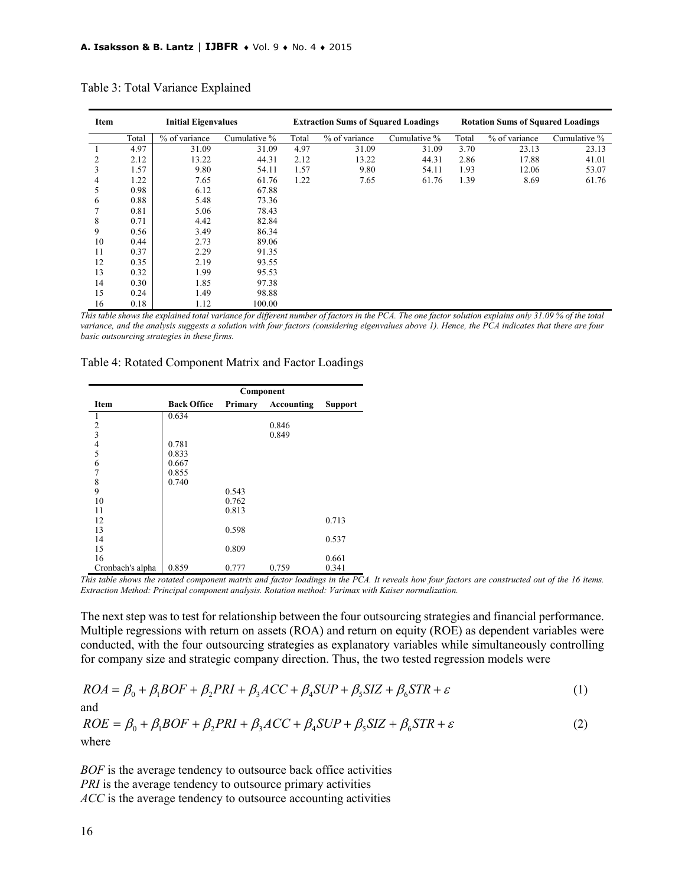| Item | <b>Initial Eigenvalues</b> |               | <b>Extraction Sums of Squared Loadings</b> |       |               | <b>Rotation Sums of Squared Loadings</b> |       |               |              |
|------|----------------------------|---------------|--------------------------------------------|-------|---------------|------------------------------------------|-------|---------------|--------------|
|      | Total                      | % of variance | Cumulative %                               | Total | % of variance | Cumulative %                             | Total | % of variance | Cumulative % |
|      | 4.97                       | 31.09         | 31.09                                      | 4.97  | 31.09         | 31.09                                    | 3.70  | 23.13         | 23.13        |
| 2    | 2.12                       | 13.22         | 44.31                                      | 2.12  | 13.22         | 44.31                                    | 2.86  | 17.88         | 41.01        |
| 3    | 1.57                       | 9.80          | 54.11                                      | 1.57  | 9.80          | 54.11                                    | 1.93  | 12.06         | 53.07        |
| 4    | 1.22                       | 7.65          | 61.76                                      | 1.22  | 7.65          | 61.76                                    | 1.39  | 8.69          | 61.76        |
| 5    | 0.98                       | 6.12          | 67.88                                      |       |               |                                          |       |               |              |
| 6    | 0.88                       | 5.48          | 73.36                                      |       |               |                                          |       |               |              |
|      | 0.81                       | 5.06          | 78.43                                      |       |               |                                          |       |               |              |
| 8    | 0.71                       | 4.42          | 82.84                                      |       |               |                                          |       |               |              |
| 9    | 0.56                       | 3.49          | 86.34                                      |       |               |                                          |       |               |              |
| 10   | 0.44                       | 2.73          | 89.06                                      |       |               |                                          |       |               |              |
| 11   | 0.37                       | 2.29          | 91.35                                      |       |               |                                          |       |               |              |
| 12   | 0.35                       | 2.19          | 93.55                                      |       |               |                                          |       |               |              |
| 13   | 0.32                       | 1.99          | 95.53                                      |       |               |                                          |       |               |              |
| 14   | 0.30                       | 1.85          | 97.38                                      |       |               |                                          |       |               |              |
| 15   | 0.24                       | 1.49          | 98.88                                      |       |               |                                          |       |               |              |
| 16   | 0.18                       | 1.12          | 100.00                                     |       |               |                                          |       |               |              |

Table 3: Total Variance Explained

*This table shows the explained total variance for different number of factors in the PCA. The one factor solution explains only 31.09 % of the total variance, and the analysis suggests a solution with four factors (considering eigenvalues above 1). Hence, the PCA indicates that there are four basic outsourcing strategies in these firms.*

#### Table 4: Rotated Component Matrix and Factor Loadings

|                                                 | Component          |         |            |                |  |  |
|-------------------------------------------------|--------------------|---------|------------|----------------|--|--|
| Item                                            | <b>Back Office</b> | Primary | Accounting | <b>Support</b> |  |  |
| 1                                               | 0.634              |         |            |                |  |  |
|                                                 |                    |         | 0.846      |                |  |  |
|                                                 |                    |         | 0.849      |                |  |  |
|                                                 | 0.781              |         |            |                |  |  |
| $\begin{array}{c} 2 \\ 3 \\ 4 \\ 5 \end{array}$ | 0.833              |         |            |                |  |  |
|                                                 | 0.667              |         |            |                |  |  |
| $\frac{6}{7}$                                   | 0.855              |         |            |                |  |  |
| 8                                               | 0.740              |         |            |                |  |  |
| 9                                               |                    | 0.543   |            |                |  |  |
| 10                                              |                    | 0.762   |            |                |  |  |
| 11                                              |                    | 0.813   |            |                |  |  |
| 12                                              |                    |         |            | 0.713          |  |  |
| 13                                              |                    | 0.598   |            |                |  |  |
| 14                                              |                    |         |            | 0.537          |  |  |
| 15                                              |                    | 0.809   |            |                |  |  |
| 16                                              |                    |         |            | 0.661          |  |  |
| Cronbach's alpha                                | 0.859              | 0.777   | 0.759      | 0.341          |  |  |

*This table shows the rotated component matrix and factor loadings in the PCA. It reveals how four factors are constructed out of the 16 items. Extraction Method: Principal component analysis. Rotation method: Varimax with Kaiser normalization.*

The next step was to test for relationship between the four outsourcing strategies and financial performance. Multiple regressions with return on assets (ROA) and return on equity (ROE) as dependent variables were conducted, with the four outsourcing strategies as explanatory variables while simultaneously controlling for company size and strategic company direction. Thus, the two tested regression models were

$$
ROA = \beta_0 + \beta_1 BOF + \beta_2 PRI + \beta_3 ACC + \beta_4 SUP + \beta_5 SIZ + \beta_6 STR + \varepsilon
$$
\n(1)

and

$$
ROE = \beta_0 + \beta_1 BOF + \beta_2 PRI + \beta_3 ACC + \beta_4 SUP + \beta_5 SIZ + \beta_6 STR + \varepsilon
$$
 (2)  
where

*BOF* is the average tendency to outsource back office activities *PRI* is the average tendency to outsource primary activities *ACC* is the average tendency to outsource accounting activities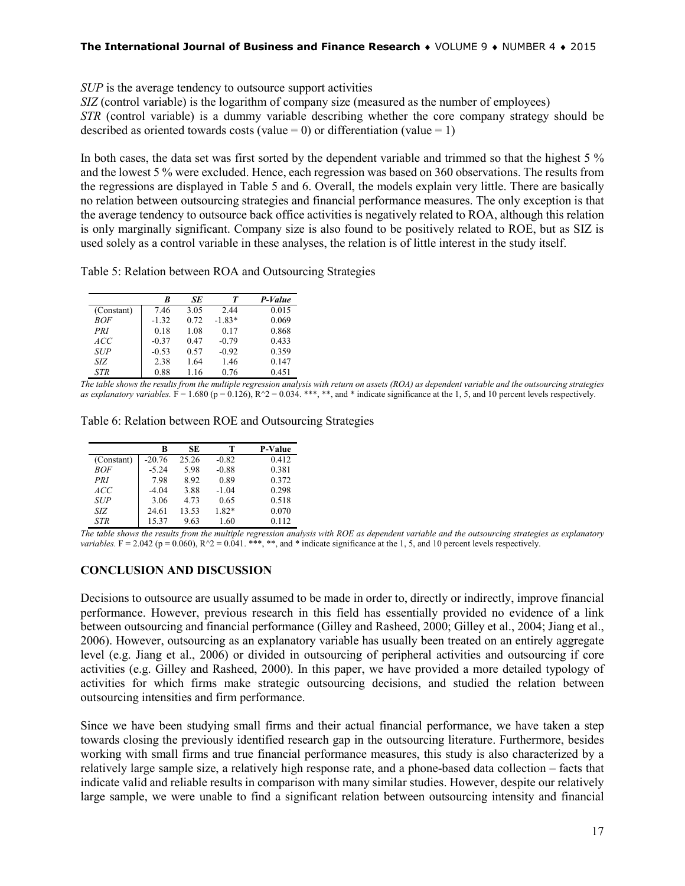### **The International Journal of Business and Finance Research** ♦ VOLUME 9 ♦ NUMBER 4 ♦ 2015

*SUP* is the average tendency to outsource support activities

*SIZ* (control variable) is the logarithm of company size (measured as the number of employees)

*STR* (control variable) is a dummy variable describing whether the core company strategy should be described as oriented towards costs (value = 0) or differentiation (value = 1)

In both cases, the data set was first sorted by the dependent variable and trimmed so that the highest 5 % and the lowest 5 % were excluded. Hence, each regression was based on 360 observations. The results from the regressions are displayed in Table 5 and 6. Overall, the models explain very little. There are basically no relation between outsourcing strategies and financial performance measures. The only exception is that the average tendency to outsource back office activities is negatively related to ROA, although this relation is only marginally significant. Company size is also found to be positively related to ROE, but as SIZ is used solely as a control variable in these analyses, the relation is of little interest in the study itself.

Table 5: Relation between ROA and Outsourcing Strategies

|            | R       | SE   | Т        | P-Value |
|------------|---------|------|----------|---------|
| (Constant) | 7.46    | 3.05 | 2.44     | 0.015   |
| ROF        | $-1.32$ | 0.72 | $-1.83*$ | 0.069   |
| PRI        | 0.18    | 1.08 | 0.17     | 0.868   |
| ACC.       | $-0.37$ | 0.47 | $-0.79$  | 0.433   |
| <b>SUP</b> | $-0.53$ | 0.57 | $-0.92$  | 0.359   |
| SIZ        | 2.38    | 1.64 | 1.46     | 0.147   |
| <b>STR</b> | 0.88    | 1.16 | 0.76     | 0.451   |

*The table shows the results from the multiple regression analysis with return on assets (ROA) as dependent variable and the outsourcing strategies as explanatory variables.*  $\vec{F} = 1.680$  ( $p = 0.126$ ),  $R^2 = 0.034$ . \*\*\*, \*\*, and \* indicate significance at the 1, 5, and 10 percent levels respectively.

| Table 6: Relation between ROE and Outsourcing Strategies |
|----------------------------------------------------------|
|----------------------------------------------------------|

|            | R        | SE    | т       | <b>P-Value</b> |
|------------|----------|-------|---------|----------------|
| (Constant) | $-20.76$ | 25.26 | $-0.82$ | 0.412          |
| <i>BOF</i> | $-5.24$  | 5.98  | $-0.88$ | 0.381          |
| PRI        | 7.98     | 8.92  | 0.89    | 0.372          |
| ACC        | $-4.04$  | 3.88  | $-1.04$ | 0.298          |
| <b>SUP</b> | 3.06     | 4.73  | 0.65    | 0.518          |
| SIZ        | 24.61    | 13.53 | 1.82*   | 0.070          |
| <b>STR</b> | 15.37    | 9.63  | 1.60    | 0.112          |

*The table shows the results from the multiple regression analysis with ROE as dependent variable and the outsourcing strategies as explanatory variables.* F = 2.042 ( $p = 0.060$ ),  $R^2 = 0.041$ . \*\*\*, \*\*, and \* indicate significance at the 1, 5, and 10 percent levels respectively.

### **CONCLUSION AND DISCUSSION**

Decisions to outsource are usually assumed to be made in order to, directly or indirectly, improve financial performance. However, previous research in this field has essentially provided no evidence of a link between outsourcing and financial performance (Gilley and Rasheed, 2000; Gilley et al., 2004; Jiang et al., 2006). However, outsourcing as an explanatory variable has usually been treated on an entirely aggregate level (e.g. Jiang et al., 2006) or divided in outsourcing of peripheral activities and outsourcing if core activities (e.g. Gilley and Rasheed, 2000). In this paper, we have provided a more detailed typology of activities for which firms make strategic outsourcing decisions, and studied the relation between outsourcing intensities and firm performance.

Since we have been studying small firms and their actual financial performance, we have taken a step towards closing the previously identified research gap in the outsourcing literature. Furthermore, besides working with small firms and true financial performance measures, this study is also characterized by a relatively large sample size, a relatively high response rate, and a phone-based data collection – facts that indicate valid and reliable results in comparison with many similar studies. However, despite our relatively large sample, we were unable to find a significant relation between outsourcing intensity and financial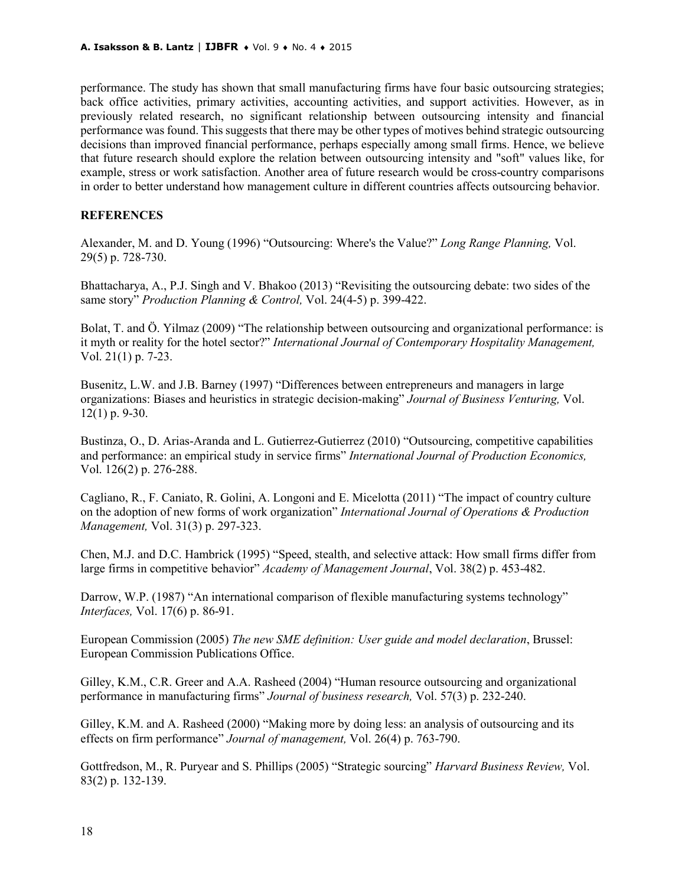performance. The study has shown that small manufacturing firms have four basic outsourcing strategies; back office activities, primary activities, accounting activities, and support activities. However, as in previously related research, no significant relationship between outsourcing intensity and financial performance was found. This suggests that there may be other types of motives behind strategic outsourcing decisions than improved financial performance, perhaps especially among small firms. Hence, we believe that future research should explore the relation between outsourcing intensity and "soft" values like, for example, stress or work satisfaction. Another area of future research would be cross-country comparisons in order to better understand how management culture in different countries affects outsourcing behavior.

# **REFERENCES**

Alexander, M. and D. Young (1996) "Outsourcing: Where's the Value?" *Long Range Planning,* Vol. 29(5) p. 728-730.

Bhattacharya, A., P.J. Singh and V. Bhakoo (2013) "Revisiting the outsourcing debate: two sides of the same story" *Production Planning & Control,* Vol. 24(4-5) p. 399-422.

Bolat, T. and Ö. Yilmaz (2009) "The relationship between outsourcing and organizational performance: is it myth or reality for the hotel sector?" *International Journal of Contemporary Hospitality Management,*  Vol. 21(1) p. 7-23.

Busenitz, L.W. and J.B. Barney (1997) "Differences between entrepreneurs and managers in large organizations: Biases and heuristics in strategic decision-making" *Journal of Business Venturing,* Vol. 12(1) p. 9-30.

Bustinza, O., D. Arias-Aranda and L. Gutierrez-Gutierrez (2010) "Outsourcing, competitive capabilities and performance: an empirical study in service firms" *International Journal of Production Economics,*  Vol. 126(2) p. 276-288.

Cagliano, R., F. Caniato, R. Golini, A. Longoni and E. Micelotta (2011) "The impact of country culture on the adoption of new forms of work organization" *International Journal of Operations & Production Management,* Vol. 31(3) p. 297-323.

Chen, M.J. and D.C. Hambrick (1995) "Speed, stealth, and selective attack: How small firms differ from large firms in competitive behavior" *Academy of Management Journal*, Vol. 38(2) p. 453-482.

Darrow, W.P. (1987) "An international comparison of flexible manufacturing systems technology" *Interfaces,* Vol. 17(6) p. 86-91.

European Commission (2005) *The new SME definition: User guide and model declaration*, Brussel: European Commission Publications Office.

Gilley, K.M., C.R. Greer and A.A. Rasheed (2004) "Human resource outsourcing and organizational performance in manufacturing firms" *Journal of business research,* Vol. 57(3) p. 232-240.

Gilley, K.M. and A. Rasheed (2000) "Making more by doing less: an analysis of outsourcing and its effects on firm performance" *Journal of management,* Vol. 26(4) p. 763-790.

Gottfredson, M., R. Puryear and S. Phillips (2005) "Strategic sourcing" *Harvard Business Review,* Vol. 83(2) p. 132-139.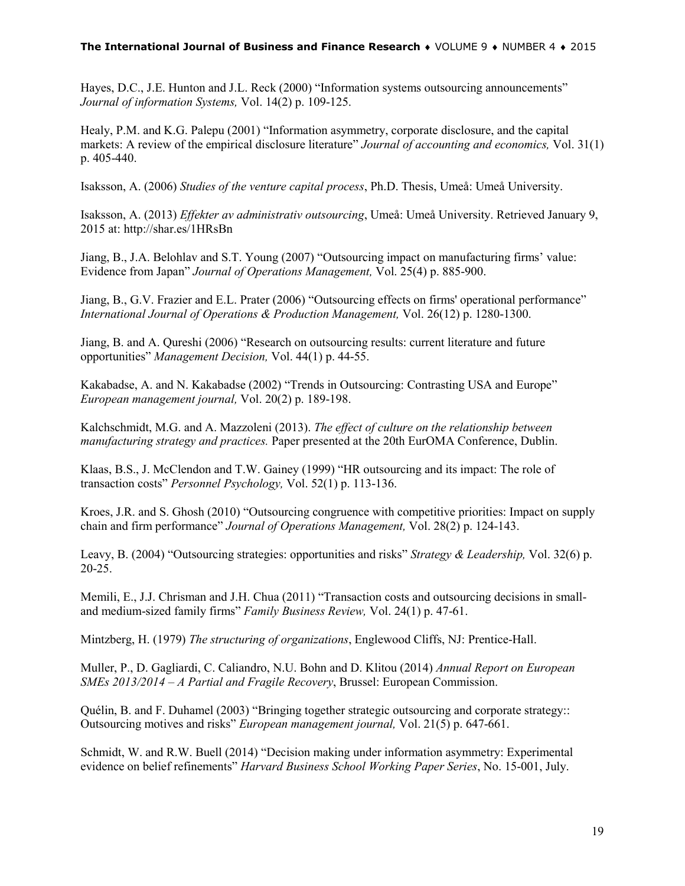### **The International Journal of Business and Finance Research** ♦ VOLUME 9 ♦ NUMBER 4 ♦ 2015

Hayes, D.C., J.E. Hunton and J.L. Reck (2000) "Information systems outsourcing announcements" *Journal of information Systems,* Vol. 14(2) p. 109-125.

Healy, P.M. and K.G. Palepu (2001) "Information asymmetry, corporate disclosure, and the capital markets: A review of the empirical disclosure literature" *Journal of accounting and economics,* Vol. 31(1) p. 405-440.

Isaksson, A. (2006) *Studies of the venture capital process*, Ph.D. Thesis, Umeå: Umeå University.

Isaksson, A. (2013) *Effekter av administrativ outsourcing*, Umeå: Umeå University. Retrieved January 9, 2015 at: http://shar.es/1HRsBn

Jiang, B., J.A. Belohlav and S.T. Young (2007) "Outsourcing impact on manufacturing firms' value: Evidence from Japan" *Journal of Operations Management,* Vol. 25(4) p. 885-900.

Jiang, B., G.V. Frazier and E.L. Prater (2006) "Outsourcing effects on firms' operational performance" *International Journal of Operations & Production Management,* Vol. 26(12) p. 1280-1300.

Jiang, B. and A. Qureshi (2006) "Research on outsourcing results: current literature and future opportunities" *Management Decision,* Vol. 44(1) p. 44-55.

Kakabadse, A. and N. Kakabadse (2002) "Trends in Outsourcing: Contrasting USA and Europe" *European management journal,* Vol. 20(2) p. 189-198.

Kalchschmidt, M.G. and A. Mazzoleni (2013). *The effect of culture on the relationship between manufacturing strategy and practices.* Paper presented at the 20th EurOMA Conference, Dublin.

Klaas, B.S., J. McClendon and T.W. Gainey (1999) "HR outsourcing and its impact: The role of transaction costs" *Personnel Psychology,* Vol. 52(1) p. 113-136.

Kroes, J.R. and S. Ghosh (2010) "Outsourcing congruence with competitive priorities: Impact on supply chain and firm performance" *Journal of Operations Management,* Vol. 28(2) p. 124-143.

Leavy, B. (2004) "Outsourcing strategies: opportunities and risks" *Strategy & Leadership,* Vol. 32(6) p. 20-25.

Memili, E., J.J. Chrisman and J.H. Chua (2011) "Transaction costs and outsourcing decisions in smalland medium-sized family firms" *Family Business Review,* Vol. 24(1) p. 47-61.

Mintzberg, H. (1979) *The structuring of organizations*, Englewood Cliffs, NJ: Prentice-Hall.

Muller, P., D. Gagliardi, C. Caliandro, N.U. Bohn and D. Klitou (2014) *Annual Report on European SMEs 2013/2014 – A Partial and Fragile Recovery*, Brussel: European Commission.

Quélin, B. and F. Duhamel (2003) "Bringing together strategic outsourcing and corporate strategy:: Outsourcing motives and risks" *European management journal,* Vol. 21(5) p. 647-661.

Schmidt, W. and R.W. Buell (2014) "Decision making under information asymmetry: Experimental evidence on belief refinements" *Harvard Business School Working Paper Series*, No. 15-001, July.